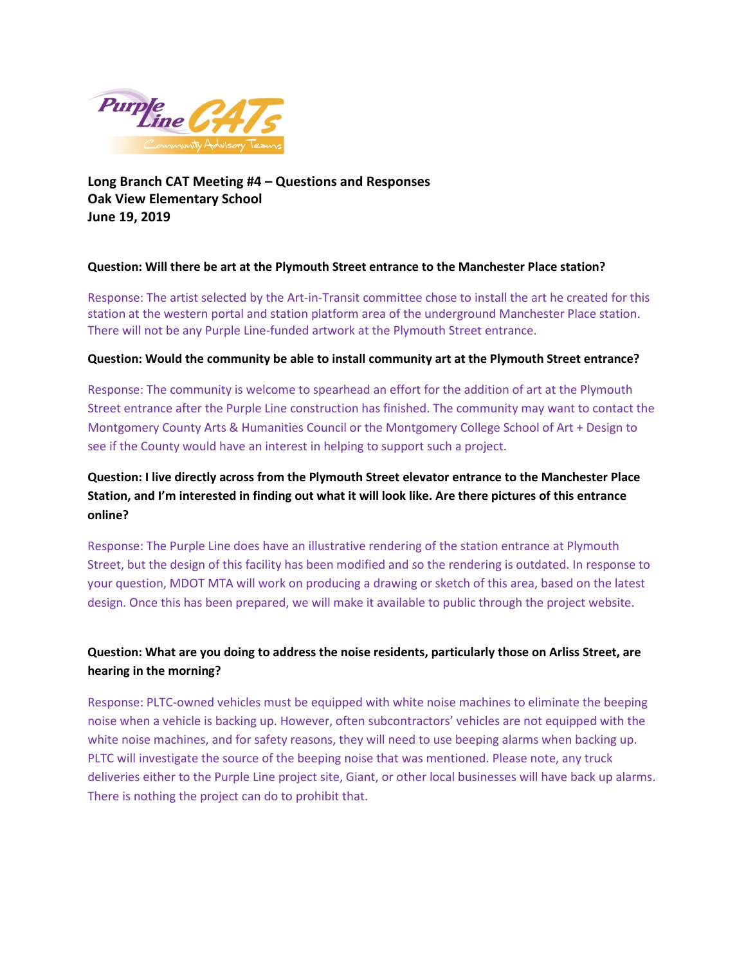

**Long Branch CAT Meeting #4 – Questions and Responses Oak View Elementary School June 19, 2019**

#### **Question: Will there be art at the Plymouth Street entrance to the Manchester Place station?**

Response: The artist selected by the Art-in-Transit committee chose to install the art he created for this station at the western portal and station platform area of the underground Manchester Place station. There will not be any Purple Line-funded artwork at the Plymouth Street entrance.

#### **Question: Would the community be able to install community art at the Plymouth Street entrance?**

Response: The community is welcome to spearhead an effort for the addition of art at the Plymouth Street entrance after the Purple Line construction has finished. The community may want to contact the Montgomery County Arts & Humanities Council or the Montgomery College School of Art + Design to see if the County would have an interest in helping to support such a project.

# **Question: I live directly across from the Plymouth Street elevator entrance to the Manchester Place Station, and I'm interested in finding out what it will look like. Are there pictures of this entrance online?**

Response: The Purple Line does have an illustrative rendering of the station entrance at Plymouth Street, but the design of this facility has been modified and so the rendering is outdated. In response to your question, MDOT MTA will work on producing a drawing or sketch of this area, based on the latest design. Once this has been prepared, we will make it available to public through the project website.

### **Question: What are you doing to address the noise residents, particularly those on Arliss Street, are hearing in the morning?**

Response: PLTC-owned vehicles must be equipped with white noise machines to eliminate the beeping noise when a vehicle is backing up. However, often subcontractors' vehicles are not equipped with the white noise machines, and for safety reasons, they will need to use beeping alarms when backing up. PLTC will investigate the source of the beeping noise that was mentioned. Please note, any truck deliveries either to the Purple Line project site, Giant, or other local businesses will have back up alarms. There is nothing the project can do to prohibit that.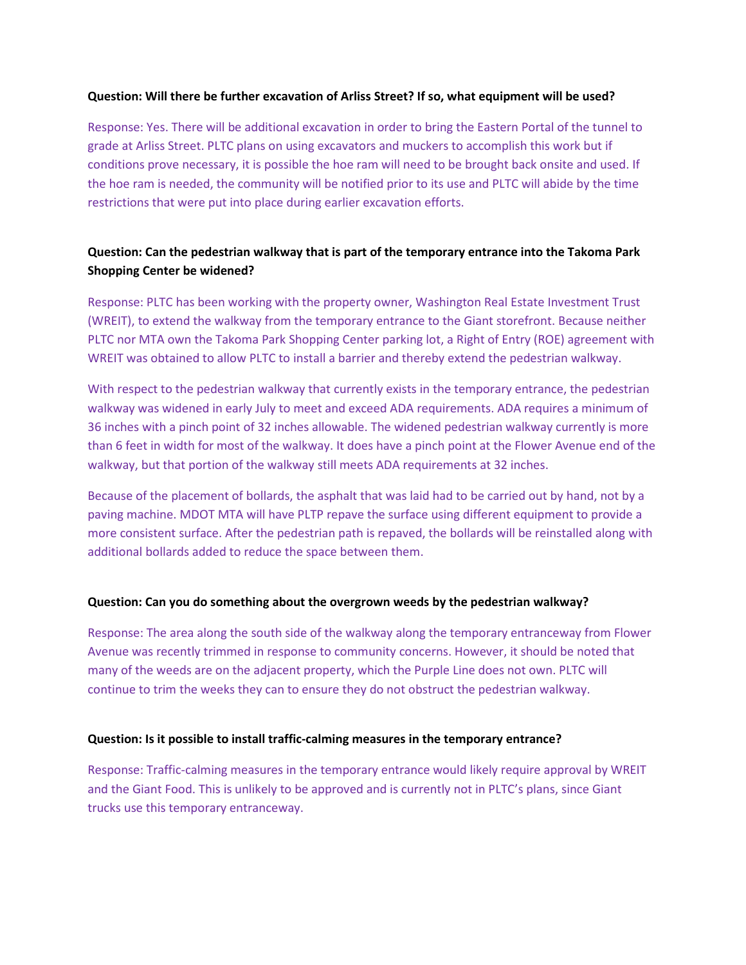#### **Question: Will there be further excavation of Arliss Street? If so, what equipment will be used?**

Response: Yes. There will be additional excavation in order to bring the Eastern Portal of the tunnel to grade at Arliss Street. PLTC plans on using excavators and muckers to accomplish this work but if conditions prove necessary, it is possible the hoe ram will need to be brought back onsite and used. If the hoe ram is needed, the community will be notified prior to its use and PLTC will abide by the time restrictions that were put into place during earlier excavation efforts.

### **Question: Can the pedestrian walkway that is part of the temporary entrance into the Takoma Park Shopping Center be widened?**

Response: PLTC has been working with the property owner, Washington Real Estate Investment Trust (WREIT), to extend the walkway from the temporary entrance to the Giant storefront. Because neither PLTC nor MTA own the Takoma Park Shopping Center parking lot, a Right of Entry (ROE) agreement with WREIT was obtained to allow PLTC to install a barrier and thereby extend the pedestrian walkway.

With respect to the pedestrian walkway that currently exists in the temporary entrance, the pedestrian walkway was widened in early July to meet and exceed ADA requirements. ADA requires a minimum of 36 inches with a pinch point of 32 inches allowable. The widened pedestrian walkway currently is more than 6 feet in width for most of the walkway. It does have a pinch point at the Flower Avenue end of the walkway, but that portion of the walkway still meets ADA requirements at 32 inches.

Because of the placement of bollards, the asphalt that was laid had to be carried out by hand, not by a paving machine. MDOT MTA will have PLTP repave the surface using different equipment to provide a more consistent surface. After the pedestrian path is repaved, the bollards will be reinstalled along with additional bollards added to reduce the space between them.

#### **Question: Can you do something about the overgrown weeds by the pedestrian walkway?**

Response: The area along the south side of the walkway along the temporary entranceway from Flower Avenue was recently trimmed in response to community concerns. However, it should be noted that many of the weeds are on the adjacent property, which the Purple Line does not own. PLTC will continue to trim the weeks they can to ensure they do not obstruct the pedestrian walkway.

#### **Question: Is it possible to install traffic-calming measures in the temporary entrance?**

Response: Traffic-calming measures in the temporary entrance would likely require approval by WREIT and the Giant Food. This is unlikely to be approved and is currently not in PLTC's plans, since Giant trucks use this temporary entranceway.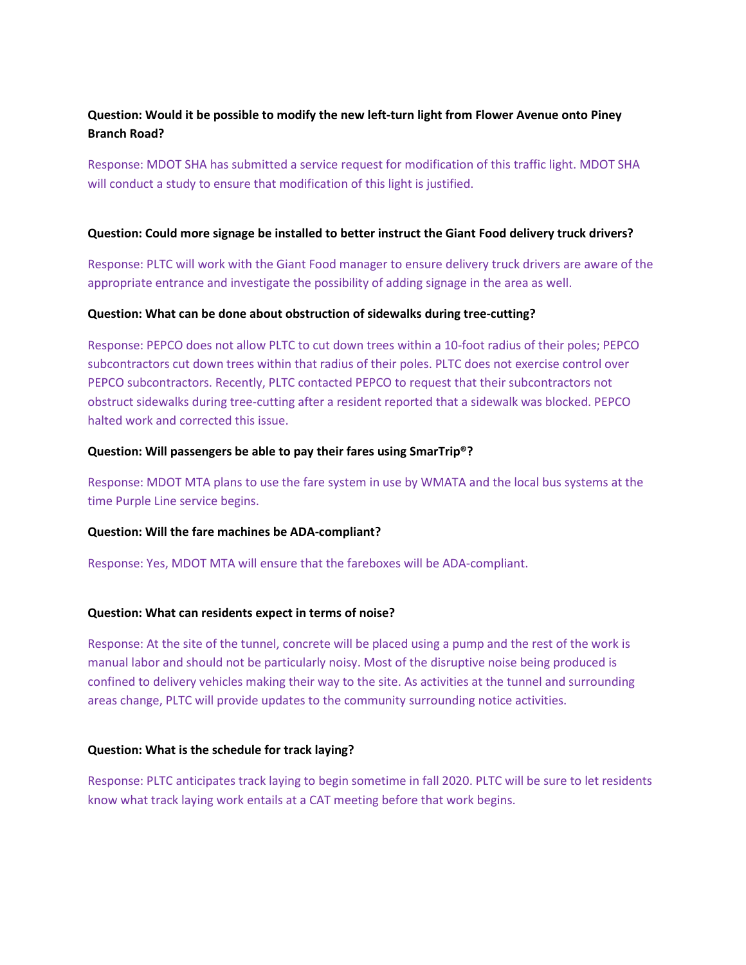### **Question: Would it be possible to modify the new left-turn light from Flower Avenue onto Piney Branch Road?**

Response: MDOT SHA has submitted a service request for modification of this traffic light. MDOT SHA will conduct a study to ensure that modification of this light is justified.

#### **Question: Could more signage be installed to better instruct the Giant Food delivery truck drivers?**

Response: PLTC will work with the Giant Food manager to ensure delivery truck drivers are aware of the appropriate entrance and investigate the possibility of adding signage in the area as well.

#### **Question: What can be done about obstruction of sidewalks during tree-cutting?**

Response: PEPCO does not allow PLTC to cut down trees within a 10-foot radius of their poles; PEPCO subcontractors cut down trees within that radius of their poles. PLTC does not exercise control over PEPCO subcontractors. Recently, PLTC contacted PEPCO to request that their subcontractors not obstruct sidewalks during tree-cutting after a resident reported that a sidewalk was blocked. PEPCO halted work and corrected this issue.

#### **Question: Will passengers be able to pay their fares using SmarTrip®?**

Response: MDOT MTA plans to use the fare system in use by WMATA and the local bus systems at the time Purple Line service begins.

#### **Question: Will the fare machines be ADA-compliant?**

Response: Yes, MDOT MTA will ensure that the fareboxes will be ADA-compliant.

### **Question: What can residents expect in terms of noise?**

Response: At the site of the tunnel, concrete will be placed using a pump and the rest of the work is manual labor and should not be particularly noisy. Most of the disruptive noise being produced is confined to delivery vehicles making their way to the site. As activities at the tunnel and surrounding areas change, PLTC will provide updates to the community surrounding notice activities.

#### **Question: What is the schedule for track laying?**

Response: PLTC anticipates track laying to begin sometime in fall 2020. PLTC will be sure to let residents know what track laying work entails at a CAT meeting before that work begins.